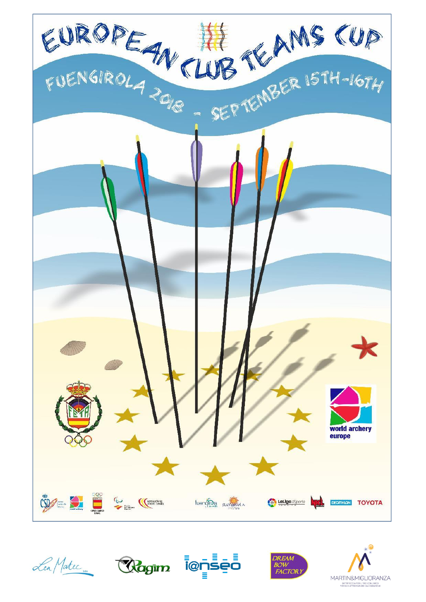









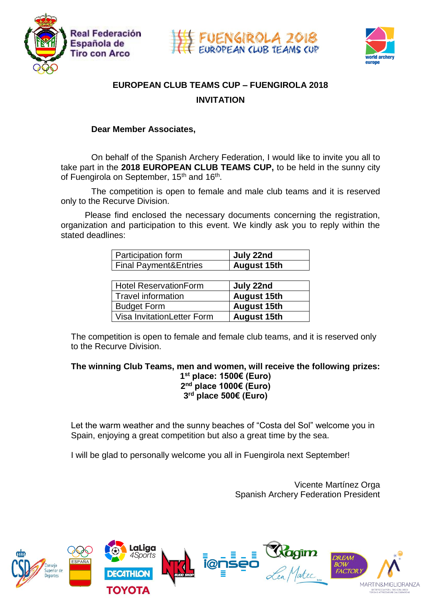





# **EUROPEAN CLUB TEAMS CUP – FUENGIROLA 2018 INVITATION**

#### **Dear Member Associates,**

On behalf of the Spanish Archery Federation, I would like to invite you all to take part in the **2018 EUROPEAN CLUB TEAMS CUP,** to be held in the sunny city of Fuengirola on September, 15<sup>th</sup> and 16<sup>th</sup>.

The competition is open to female and male club teams and it is reserved only to the Recurve Division.

 Please find enclosed the necessary documents concerning the registration, organization and participation to this event. We kindly ask you to reply within the stated deadlines:

| Participation form               | July 22nd          |
|----------------------------------|--------------------|
| <b>Final Payment&amp;Entries</b> | <b>August 15th</b> |
|                                  |                    |
| <b>Hotel ReservationForm</b>     | July 22nd          |
| <b>Travel information</b>        | <b>August 15th</b> |
| <b>Budget Form</b>               | <b>August 15th</b> |
| Visa InvitationLetter Form       | <b>August 15th</b> |

The competition is open to female and female club teams, and it is reserved only to the Recurve Division.

**The winning Club Teams, men and women, will receive the following prizes: 1 st place: 1500€ (Euro)**

**2 nd place 1000€ (Euro) 3 rd place 500€ (Euro)**

Let the warm weather and the sunny beaches of "Costa del Sol" welcome you in Spain, enjoying a great competition but also a great time by the sea.

I will be glad to personally welcome you all in Fuengirola next September!

Vicente Martínez Orga Spanish Archery Federation President

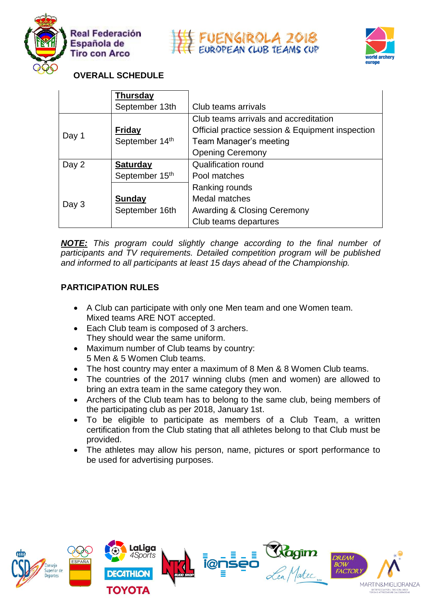





# **OVERALL SCHEDULE**

|       | <b>Thursday</b> |                                                  |  |  |  |
|-------|-----------------|--------------------------------------------------|--|--|--|
|       | September 13th  | Club teams arrivals                              |  |  |  |
|       |                 | Club teams arrivals and accreditation            |  |  |  |
| Day 1 | <b>Friday</b>   | Official practice session & Equipment inspection |  |  |  |
|       | September 14th  | Team Manager's meeting                           |  |  |  |
|       |                 | <b>Opening Ceremony</b>                          |  |  |  |
| Day 2 | <b>Saturday</b> | <b>Qualification round</b>                       |  |  |  |
|       | September 15th  | Pool matches                                     |  |  |  |
|       |                 | Ranking rounds                                   |  |  |  |
| Day 3 | <b>Sunday</b>   | Medal matches                                    |  |  |  |
|       | September 16th  | <b>Awarding &amp; Closing Ceremony</b>           |  |  |  |
|       |                 | Club teams departures                            |  |  |  |

*NOTE: This program could slightly change according to the final number of participants and TV requirements. Detailed competition program will be published and informed to all participants at least 15 days ahead of the Championship.*

# **PARTICIPATION RULES**

- A Club can participate with only one Men team and one Women team. Mixed teams ARE NOT accepted.
- Each Club team is composed of 3 archers. They should wear the same uniform.
- Maximum number of Club teams by country: 5 Men & 5 Women Club teams.
- The host country may enter a maximum of 8 Men & 8 Women Club teams.
- The countries of the 2017 winning clubs (men and women) are allowed to bring an extra team in the same category they won.
- Archers of the Club team has to belong to the same club, being members of the participating club as per 2018, January 1st.
- To be eligible to participate as members of a Club Team, a written certification from the Club stating that all athletes belong to that Club must be provided.
- The athletes may allow his person, name, pictures or sport performance to be used for advertising purposes.

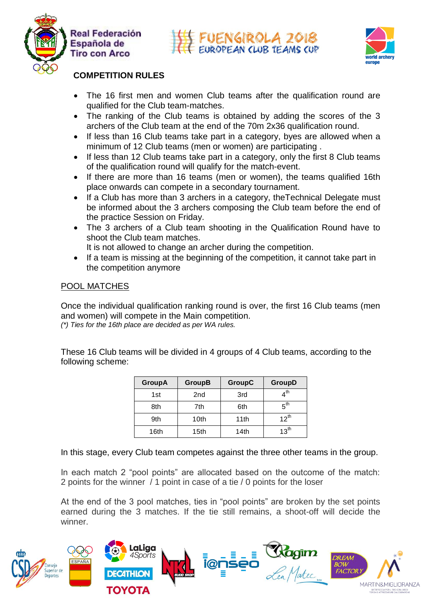





# **COMPETITION RULES**

- The 16 first men and women Club teams after the qualification round are qualified for the Club team-matches.
- The ranking of the Club teams is obtained by adding the scores of the 3 archers of the Club team at the end of the 70m 2x36 qualification round.
- If less than 16 Club teams take part in a category, byes are allowed when a minimum of 12 Club teams (men or women) are participating .
- If less than 12 Club teams take part in a category, only the first 8 Club teams of the qualification round will qualify for the match-event.
- If there are more than 16 teams (men or women), the teams qualified 16th place onwards can compete in a secondary tournament.
- If a Club has more than 3 archers in a category, theTechnical Delegate must be informed about the 3 archers composing the Club team before the end of the practice Session on Friday.
- The 3 archers of a Club team shooting in the Qualification Round have to shoot the Club team matches.
	- It is not allowed to change an archer during the competition.
- If a team is missing at the beginning of the competition, it cannot take part in the competition anymore

# POOL MATCHES

Once the individual qualification ranking round is over, the first 16 Club teams (men and women) will compete in the Main competition. *(\*) Ties for the 16th place are decided as per WA rules.* 

These 16 Club teams will be divided in 4 groups of 4 Club teams, according to the following scheme:

| <b>GroupA</b> | <b>GroupB</b>    | <b>GroupC</b> | <b>GroupD</b>                |
|---------------|------------------|---------------|------------------------------|
| 1st           | 2nd              | 3rd           | $\boldsymbol{4}^{\text{th}}$ |
| 8th           | 7th              | 6th           | $5^{\text{th}}$              |
| 9th           | 10 <sub>th</sub> | 11th          | $12^{th}$                    |
| 16th          | 15th             | 14th          | 13 <sup>th</sup>             |

In this stage, every Club team competes against the three other teams in the group.

In each match 2 "pool points" are allocated based on the outcome of the match: 2 points for the winner / 1 point in case of a tie / 0 points for the loser

At the end of the 3 pool matches, ties in "pool points" are broken by the set points earned during the 3 matches. If the tie still remains, a shoot-off will decide the winner.

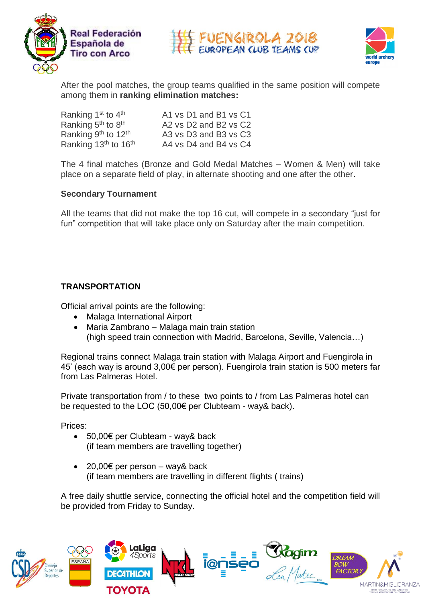





After the pool matches, the group teams qualified in the same position will compete among them in **ranking elimination matches:**

| Ranking 1 <sup>st</sup> to 4 <sup>th</sup>   | A1 vs D1 and B1 vs C1 |
|----------------------------------------------|-----------------------|
| Ranking 5 <sup>th</sup> to 8 <sup>th</sup>   | A2 vs D2 and B2 vs C2 |
| Ranking 9th to 12th                          | A3 vs D3 and B3 vs C3 |
| Ranking 13 <sup>th</sup> to 16 <sup>th</sup> | A4 vs D4 and B4 vs C4 |

The 4 final matches (Bronze and Gold Medal Matches – Women & Men) will take place on a separate field of play, in alternate shooting and one after the other.

#### **Secondary Tournament**

All the teams that did not make the top 16 cut, will compete in a secondary "just for fun" competition that will take place only on Saturday after the main competition.

#### **TRANSPORTATION**

Official arrival points are the following:

- Malaga International Airport
- Maria Zambrano Malaga main train station (high speed train connection with Madrid, Barcelona, Seville, Valencia…)

Regional trains connect Malaga train station with Malaga Airport and Fuengirola in 45' (each way is around 3,00€ per person). Fuengirola train station is 500 meters far from Las Palmeras Hotel.

Private transportation from / to these two points to / from Las Palmeras hotel can be requested to the LOC (50,00€ per Clubteam - way& back).

Prices:

- 50,00€ per Clubteam way& back (if team members are travelling together)
- 20,00€ per person way& back (if team members are travelling in different flights ( trains)

A free daily shuttle service, connecting the official hotel and the competition field will be provided from Friday to Sunday.

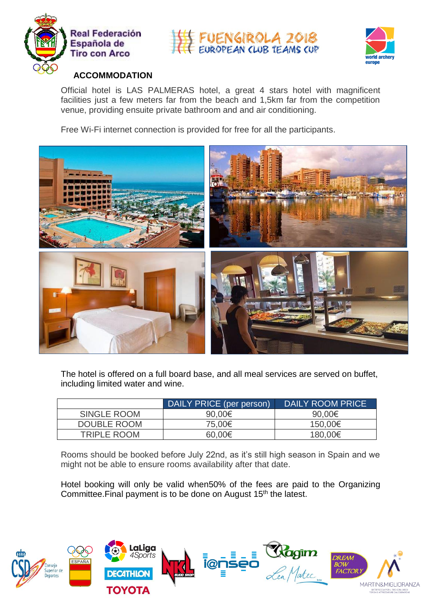





# **ACCOMMODATION**

Official hotel is LAS PALMERAS hotel, a great 4 stars hotel with magnificent facilities just a few meters far from the beach and 1,5km far from the competition venue, providing ensuite private bathroom and and air conditioning.

Free Wi-Fi internet connection is provided for free for all the participants.



The hotel is offered on a full board base, and all meal services are served on buffet, including limited water and wine.

|                    | DAILY PRICE (per person) | DAILY ROOM PRICE |
|--------------------|--------------------------|------------------|
| <b>SINGLE ROOM</b> | 90,00€                   | 90,00€           |
| DOUBLE ROOM        | 75,00€                   | 150,00€          |
| <b>TRIPLE ROOM</b> | 60,00€                   | 180,00€          |

Rooms should be booked before July 22nd, as it's still high season in Spain and we might not be able to ensure rooms availability after that date.

Hotel booking will only be valid when50% of the fees are paid to the Organizing Committee. Final payment is to be done on August 15<sup>th</sup> the latest.

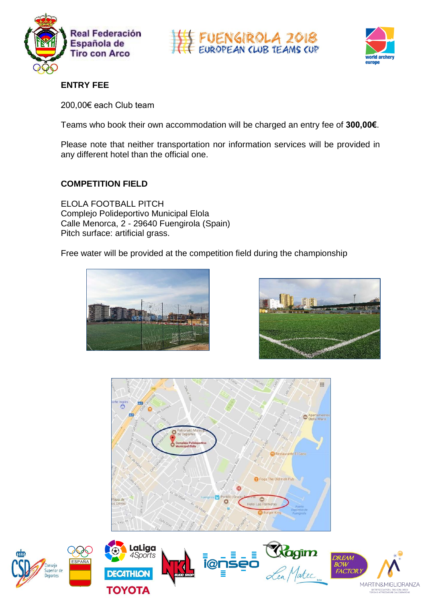





# **ENTRY FEE**

200,00€ each Club team

Teams who book their own accommodation will be charged an entry fee of **300,00€**.

Please note that neither transportation nor information services will be provided in any different hotel than the official one.

# **COMPETITION FIELD**

ELOLA FOOTBALL PITCH Complejo Polideportivo Municipal Elola Calle Menorca, 2 - 29640 Fuengirola (Spain) Pitch surface: artificial grass.

Free water will be provided at the competition field during the championship











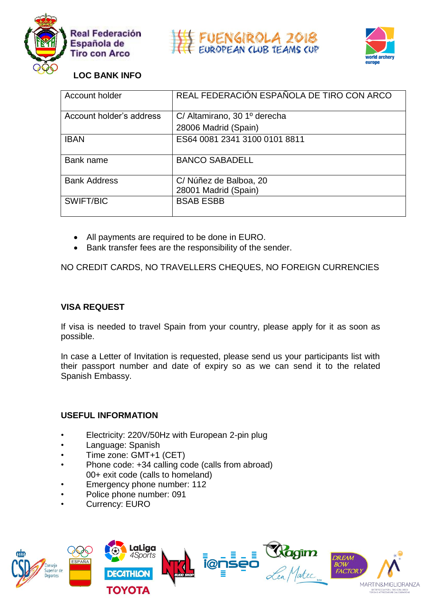





# **LOC BANK INFO**

| Account holder           | REAL FEDERACIÓN ESPAÑOLA DE TIRO CON ARCO |
|--------------------------|-------------------------------------------|
| Account holder's address | C/ Altamirano, 30 1º derecha              |
|                          | 28006 Madrid (Spain)                      |
| <b>IBAN</b>              | ES64 0081 2341 3100 0101 8811             |
| Bank name                | <b>BANCO SABADELL</b>                     |
| <b>Bank Address</b>      | C/Núñez de Balboa, 20                     |
|                          | 28001 Madrid (Spain)                      |
| SWIFT/BIC                | <b>BSAB ESBB</b>                          |

- All payments are required to be done in EURO.
- Bank transfer fees are the responsibility of the sender.

NO CREDIT CARDS, NO TRAVELLERS CHEQUES, NO FOREIGN CURRENCIES

#### **VISA REQUEST**

If visa is needed to travel Spain from your country, please apply for it as soon as possible.

In case a Letter of Invitation is requested, please send us your participants list with their passport number and date of expiry so as we can send it to the related Spanish Embassy.

#### **USEFUL INFORMATION**

- Electricity: 220V/50Hz with European 2-pin plug
- Language: Spanish
- Time zone: GMT+1 (CET)
- Phone code: +34 calling code (calls from abroad) 00+ exit code (calls to homeland)
- Emergency phone number: 112
- Police phone number: 091
- Currency: EURO

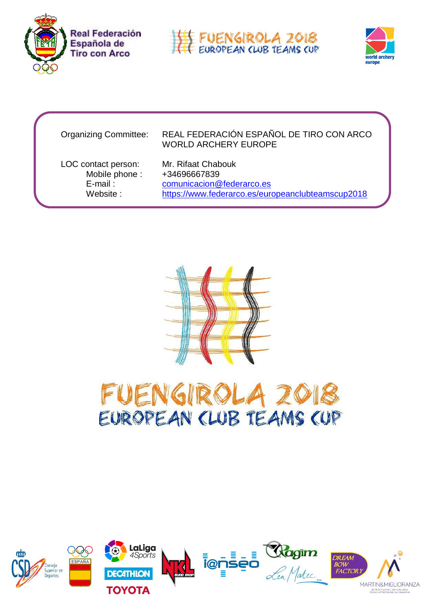





#### Organizing Committee: REAL FEDERACIÓN ESPAÑOL DE TIRO CON ARCO WORLD ARCHERY EUROPE

LOC contact person: Mr. Rifaat Chabouk Mobile phone : +34696667839 E-mail : [comunicacion@federarco.es](mailto:comunicacion@federarco.es) Website : https://www.federarco.es/europeanclubteamscup2018





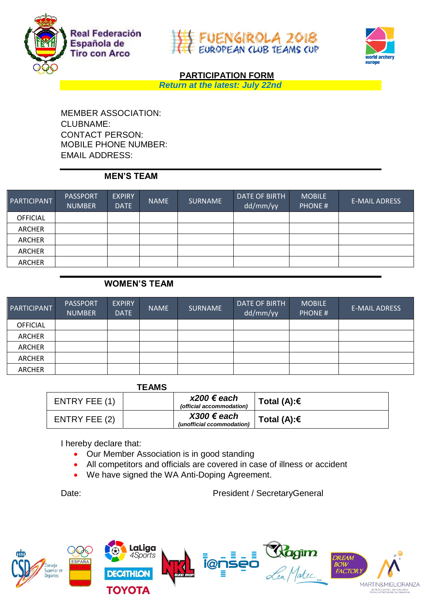





# **PARTICIPATION FORM**

*Return at the latest: July 22nd*

MEMBER ASSOCIATION: CLUBNAME: CONTACT PERSON: MOBILE PHONE NUMBER: EMAIL ADDRESS:

#### **MEN'S TEAM**

| PARTICIPANT     | <b>PASSPORT</b><br><b>NUMBER</b> | <b>EXPIRY</b><br><b>DATE</b> | <b>NAME</b> | <b>SURNAME</b> | DATE OF BIRTH<br>dd/mm/yy | <b>MOBILE</b><br><b>PHONE#</b> | <b>E-MAIL ADRESS</b> |
|-----------------|----------------------------------|------------------------------|-------------|----------------|---------------------------|--------------------------------|----------------------|
| <b>OFFICIAL</b> |                                  |                              |             |                |                           |                                |                      |
| ARCHER          |                                  |                              |             |                |                           |                                |                      |
| ARCHER          |                                  |                              |             |                |                           |                                |                      |
| ARCHER          |                                  |                              |             |                |                           |                                |                      |
| ARCHER          |                                  |                              |             |                |                           |                                |                      |

# **WOMEN'S TEAM**

| PARTICIPANT     | <b>PASSPORT</b><br><b>NUMBER</b> | <b>EXPIRY</b><br><b>DATE</b> | <b>NAME</b> | <b>SURNAME</b> | <b>DATE OF BIRTH</b><br>dd/mm/yy | <b>MOBILE</b><br><b>PHONE#</b> | <b>E-MAIL ADRESS</b> |
|-----------------|----------------------------------|------------------------------|-------------|----------------|----------------------------------|--------------------------------|----------------------|
| <b>OFFICIAL</b> |                                  |                              |             |                |                                  |                                |                      |
| <b>ARCHER</b>   |                                  |                              |             |                |                                  |                                |                      |
| <b>ARCHER</b>   |                                  |                              |             |                |                                  |                                |                      |
| ARCHER          |                                  |                              |             |                |                                  |                                |                      |
| <b>ARCHER</b>   |                                  |                              |             |                |                                  |                                |                      |

**TEAMS**

| ENTRY FEE (1) | $x200 \in$ each<br>(official accommodation) | Total (A):€ |
|---------------|---------------------------------------------|-------------|
| ENTRY FEE (2) | $X300 €$ each<br>(unofficial ccommodation)  | Total (A):€ |

I hereby declare that:

- Our Member Association is in good standing
- All competitors and officials are covered in case of illness or accident
- We have signed the WA Anti-Doping Agreement.

Date: Date: President / SecretaryGeneral

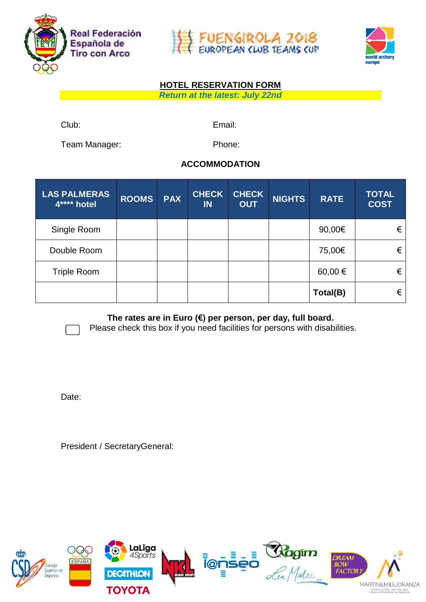





# **HOTEL RESERVATION FORM**

*Return at the latest: July 22nd*

Club: Email:

Team Manager: Phone:

# **ACCOMMODATION**

| <b>LAS PALMERAS</b><br>4**** hotel | <b>ROOMS</b> | <b>PAX</b> | <b>CHECK</b><br><b>IN</b> | <b>CHECK</b><br><b>OUT</b> | <b>NIGHTS</b> | <b>RATE</b> | <b>TOTAL</b><br><b>COST</b> |
|------------------------------------|--------------|------------|---------------------------|----------------------------|---------------|-------------|-----------------------------|
| Single Room                        |              |            |                           |                            |               | 90,00€      | €                           |
| Double Room                        |              |            |                           |                            |               | 75,00€      | €                           |
| <b>Triple Room</b>                 |              |            |                           |                            |               | 60,00 €     | €                           |
|                                    |              |            |                           |                            |               | Total(B)    | €                           |

**The rates are in Euro (€) per person, per day, full board.**

Please check this box if you need facilities for persons with disabilities.

Date:

President / SecretaryGeneral:

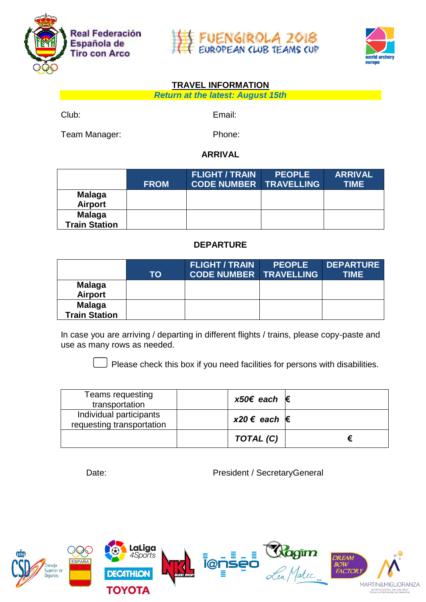





### **TRAVEL INFORMATION**

*Return at the latest: August 15th* 

Club: Email:

Team Manager: Phone:

### **ARRIVAL**

|                                       | <b>FROM</b> | <b>FLIGHT / TRAIN</b><br><b>CODE NUMBER TRAVELLING</b> | <b>PEOPLE</b> | <b>ARRIVAL</b><br><b>TIME</b> |
|---------------------------------------|-------------|--------------------------------------------------------|---------------|-------------------------------|
| <b>Malaga</b><br><b>Airport</b>       |             |                                                        |               |                               |
| <b>Malaga</b><br><b>Train Station</b> |             |                                                        |               |                               |

# **DEPARTURE**

|                                       | TO | <b>FLIGHT / TRAIN</b><br><b>CODE NUMBER TRAVELLING</b> | <b>PEOPLE</b> | <b>DEPARTURE</b><br><b>TIME</b> |
|---------------------------------------|----|--------------------------------------------------------|---------------|---------------------------------|
| <b>Malaga</b><br><b>Airport</b>       |    |                                                        |               |                                 |
| <b>Malaga</b><br><b>Train Station</b> |    |                                                        |               |                                 |

In case you are arriving / departing in different flights / trains, please copy-paste and use as many rows as needed.

 $\Box$  Please check this box if you need facilities for persons with disabilities.

| Teams requesting<br>transportation                   | $x50€$ each $€$    |  |
|------------------------------------------------------|--------------------|--|
| Individual participants<br>requesting transportation | $x20 \in each \in$ |  |
|                                                      | TOTAL (C)          |  |

Date: President / SecretaryGeneral